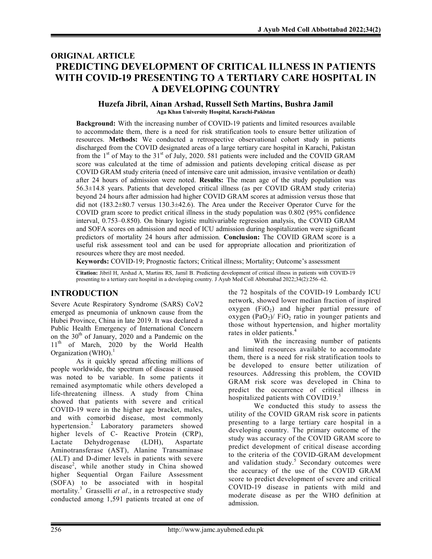# ORIGINAL ARTICLE PREDICTING DEVELOPMENT OF CRITICAL ILLNESS IN PATIENTS WITH COVID-19 PRESENTING TO A TERTIARY CARE HOSPITAL IN A DEVELOPING COUNTRY

# Huzefa Jibril, Ainan Arshad, Russell Seth Martins, Bushra Jamil

Aga Khan University Hospital, Karachi-Pakistan

Background: With the increasing number of COVID-19 patients and limited resources available to accommodate them, there is a need for risk stratification tools to ensure better utilization of resources. Methods: We conducted a retrospective observational cohort study in patients discharged from the COVID designated areas of a large tertiary care hospital in Karachi, Pakistan from the  $1<sup>st</sup>$  of May to the 31<sup>st</sup> of July, 2020. 581 patients were included and the COVID GRAM score was calculated at the time of admission and patients developing critical disease as per COVID GRAM study criteria (need of intensive care unit admission, invasive ventilation or death) after 24 hours of admission were noted. Results: The mean age of the study population was 56.3±14.8 years. Patients that developed critical illness (as per COVID GRAM study criteria) beyond 24 hours after admission had higher COVID GRAM scores at admission versus those that did not (183.2±80.7 versus 130.3±42.6). The Area under the Receiver Operator Curve for the COVID gram score to predict critical illness in the study population was 0.802 (95% confidence interval, 0.753–0.850). On binary logistic multivariable regression analysis, the COVID GRAM and SOFA scores on admission and need of ICU admission during hospitalization were significant predictors of mortality 24 hours after admission. Conclusion: The COVID GRAM score is a useful risk assessment tool and can be used for appropriate allocation and prioritization of resources where they are most needed.

Keywords: COVID-19; Prognostic factors; Critical illness; Mortality; Outcome's assessment

Citation: Jibril H, Arshad A, Martins RS, Jamil B. Predicting development of critical illness in patients with COVID-19 presenting to a tertiary care hospital in a developing country. J Ayub Med Coll Abbottabad 2022;34(2):256–62.

## INTRODUCTION

Severe Acute Respiratory Syndrome (SARS) CoV2 emerged as pneumonia of unknown cause from the Hubei Province, China in late 2019. It was declared a Public Health Emergency of International Concern on the  $30<sup>th</sup>$  of January, 2020 and a Pandemic on the 11<sup>th</sup> of March, 2020 by the World Health Organization (WHO).<sup>1</sup>

As it quickly spread affecting millions of people worldwide, the spectrum of disease it caused was noted to be variable. In some patients it remained asymptomatic while others developed a life-threatening illness. A study from China showed that patients with severe and critical COVID-19 were in the higher age bracket, males, and with comorbid disease, most commonly hypertension.<sup>2</sup> Laboratory parameters showed higher levels of C- Reactive Protein (CRP), Lactate Dehydrogenase (LDH), Aspartate Aminotransferase (AST), Alanine Transaminase (ALT) and D-dimer levels in patients with severe disease<sup>2</sup>, while another study in China showed higher Sequential Organ Failure Assessment (SOFA) to be associated with in hospital mortality.<sup>3</sup> Grasselli et al., in a retrospective study conducted among 1,591 patients treated at one of

the 72 hospitals of the COVID-19 Lombardy ICU network, showed lower median fraction of inspired oxygen  $(FiO<sub>2</sub>)$  and higher partial pressure of oxygen (PaO<sub>2</sub>)/ FiO<sub>2</sub> ratio in younger patients and those without hypertension, and higher mortality rates in older patients.<sup>4</sup>

With the increasing number of patients and limited resources available to accommodate them, there is a need for risk stratification tools to be developed to ensure better utilization of resources. Addressing this problem, the COVID GRAM risk score was developed in China to predict the occurrence of critical illness in hospitalized patients with COVID19.<sup>5</sup>

We conducted this study to assess the utility of the COVID GRAM risk score in patients presenting to a large tertiary care hospital in a developing country. The primary outcome of the study was accuracy of the COVID GRAM score to predict development of critical disease according to the criteria of the COVID-GRAM development and validation study.<sup>5</sup> Secondary outcomes were the accuracy of the use of the COVID GRAM score to predict development of severe and critical COVID-19 disease in patients with mild and moderate disease as per the WHO definition at admission.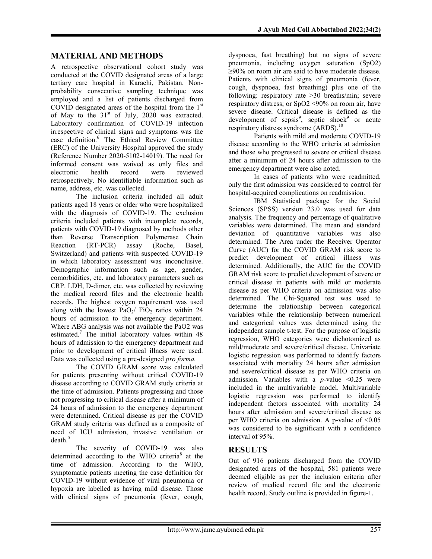### MATERIAL AND METHODS

A retrospective observational cohort study was conducted at the COVID designated areas of a large tertiary care hospital in Karachi, Pakistan. Nonprobability consecutive sampling technique was employed and a list of patients discharged from COVID designated areas of the hospital from the 1<sup>st</sup> of May to the  $31<sup>st</sup>$  of July, 2020 was extracted. Laboratory confirmation of COVID-19 infection irrespective of clinical signs and symptoms was the case definition.<sup>6</sup> The Ethical Review Committee (ERC) of the University Hospital approved the study (Reference Number 2020-5102-14019). The need for informed consent was waived as only files and electronic health record were reviewed retrospectively. No identifiable information such as name, address, etc. was collected.

The inclusion criteria included all adult patients aged 18 years or older who were hospitalized with the diagnosis of COVID-19. The exclusion criteria included patients with incomplete records, patients with COVID-19 diagnosed by methods other than Reverse Transcription Polymerase Chain Reaction (RT-PCR) assay (Roche, Basel, Switzerland) and patients with suspected COVID-19 in which laboratory assessment was inconclusive. Demographic information such as age, gender, comorbidities, etc. and laboratory parameters such as CRP. LDH, D-dimer, etc. was collected by reviewing the medical record files and the electronic health records. The highest oxygen requirement was used along with the lowest  $PaO_2/$  FiO<sub>2</sub> ratios within 24 hours of admission to the emergency department. Where ABG analysis was not available the PaO2 was estimated.<sup>7</sup> The initial laboratory values within 48 hours of admission to the emergency department and prior to development of critical illness were used. Data was collected using a pre-designed pro forma.

The COVID GRAM score was calculated for patients presenting without critical COVID-19 disease according to COVID GRAM study criteria at the time of admission. Patients progressing and those not progressing to critical disease after a minimum of 24 hours of admission to the emergency department were determined. Critical disease as per the COVID GRAM study criteria was defined as a composite of need of ICU admission, invasive ventilation or death.<sup>5</sup>

The severity of COVID-19 was also determined according to the WHO criteria<sup>8</sup> at the time of admission. According to the WHO, symptomatic patients meeting the case definition for COVID-19 without evidence of viral pneumonia or hypoxia are labelled as having mild disease. Those with clinical signs of pneumonia (fever, cough,

dyspnoea, fast breathing) but no signs of severe pneumonia, including oxygen saturation (SpO2) ≥90% on room air are said to have moderate disease. Patients with clinical signs of pneumonia (fever, cough, dyspnoea, fast breathing) plus one of the following: respiratory rate >30 breaths/min; severe respiratory distress; or SpO2 <90% on room air, have severe disease. Critical disease is defined as the development of sepsis<sup>9</sup>, septic shock<sup>9</sup> or acute respiratory distress syndrome (ARDS).<sup>10</sup>

Patients with mild and moderate COVID-19 disease according to the WHO criteria at admission and those who progressed to severe or critical disease after a minimum of 24 hours after admission to the emergency department were also noted.

In cases of patients who were readmitted, only the first admission was considered to control for hospital-acquired complications on readmission.

IBM Statistical package for the Social Sciences (SPSS) version 23.0 was used for data analysis. The frequency and percentage of qualitative variables were determined. The mean and standard deviation of quantitative variables was also determined. The Area under the Receiver Operator Curve (AUC) for the COVID GRAM risk score to predict development of critical illness was determined. Additionally, the AUC for the COVID GRAM risk score to predict development of severe or critical disease in patients with mild or moderate disease as per WHO criteria on admission was also determined. The Chi-Squared test was used to determine the relationship between categorical variables while the relationship between numerical and categorical values was determined using the independent sample t-test. For the purpose of logistic regression, WHO categories were dichotomized as mild/moderate and severe/critical disease. Univariate logistic regression was performed to identify factors associated with mortality 24 hours after admission and severe/critical disease as per WHO criteria on admission. Variables with a *p*-value  $\leq 0.25$  were included in the multivariable model. Multivariable logistic regression was performed to identify independent factors associated with mortality 24 hours after admission and severe/critical disease as per WHO criteria on admission. A p-value of  $\leq 0.05$ was considered to be significant with a confidence interval of 95%.

### RESULTS

Out of 916 patients discharged from the COVID designated areas of the hospital, 581 patients were deemed eligible as per the inclusion criteria after review of medical record file and the electronic health record. Study outline is provided in figure-1.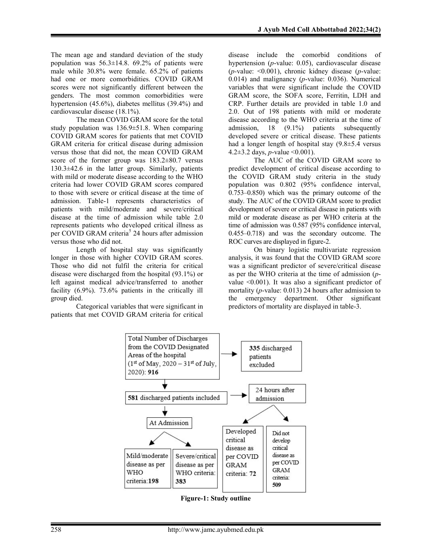The mean age and standard deviation of the study population was  $56.3 \pm 14.8$ . 69.2% of patients were male while 30.8% were female. 65.2% of patients had one or more comorbidities. COVID GRAM scores were not significantly different between the genders. The most common comorbidities were hypertension (45.6%), diabetes mellitus (39.4%) and cardiovascular disease (18.1%).

The mean COVID GRAM score for the total study population was 136.9±51.8. When comparing COVID GRAM scores for patients that met COVID GRAM criteria for critical disease during admission versus those that did not, the mean COVID GRAM score of the former group was  $183.2 \pm 80.7$  versus 130.3±42.6 in the latter group. Similarly, patients with mild or moderate disease according to the WHO criteria had lower COVID GRAM scores compared to those with severe or critical disease at the time of admission. Table-1 represents characteristics of patients with mild/moderate and severe/critical disease at the time of admission while table 2.0 represents patients who developed critical illness as per COVID GRAM criteria<sup>5</sup> 24 hours after admission versus those who did not.

Length of hospital stay was significantly longer in those with higher COVID GRAM scores. Those who did not fulfil the criteria for critical disease were discharged from the hospital (93.1%) or left against medical advice/transferred to another facility (6.9%). 73.6% patients in the critically ill group died.

Categorical variables that were significant in patients that met COVID GRAM criteria for critical disease include the comorbid conditions of hypertension (p-value: 0.05), cardiovascular disease (*p*-value:  $\leq 0.001$ ), chronic kidney disease (*p*-value: 0.014) and malignancy ( $p$ -value: 0.036). Numerical variables that were significant include the COVID GRAM score, the SOFA score, Ferritin, LDH and CRP. Further details are provided in table 1.0 and 2.0. Out of 198 patients with mild or moderate disease according to the WHO criteria at the time of admission, 18 (9.1%) patients subsequently developed severe or critical disease. These patients had a longer length of hospital stay  $(9.8 \pm 5.4 \text{ versus}$ 4.2 $\pm$ 3.2 days, *p*-value < 0.001).

The AUC of the COVID GRAM score to predict development of critical disease according to the COVID GRAM study criteria in the study population was 0.802 (95% confidence interval, 0.753–0.850) which was the primary outcome of the study. The AUC of the COVID GRAM score to predict development of severe or critical disease in patients with mild or moderate disease as per WHO criteria at the time of admission was 0.587 (95% confidence interval, 0.455–0.718) and was the secondary outcome. The ROC curves are displayed in figure-2.

On binary logistic multivariate regression analysis, it was found that the COVID GRAM score was a significant predictor of severe/critical disease as per the WHO criteria at the time of admission (pvalue <0.001). It was also a significant predictor of mortality (p-value: 0.013) 24 hours after admission to the emergency department. Other significant predictors of mortality are displayed in table-3.



Figure-1: Study outline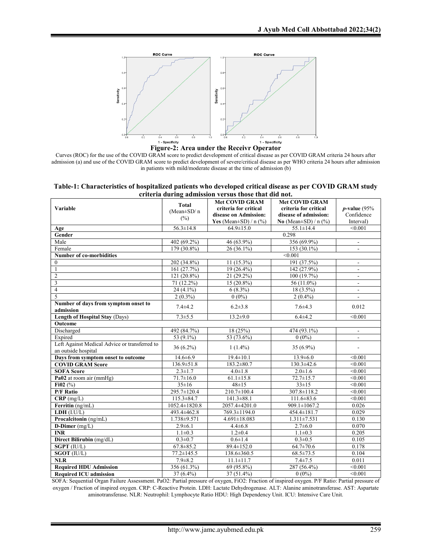

Figure-2: Area under the Receivr Operator

Curves (ROC) for the use of the COVID GRAM score to predict development of critical disease as per COVID GRAM criteria 24 hours after admission (a) and use of the COVID GRAM score to predict development of severe/critical disease as per WHO criteria 24 hours after admission in patients with mild/moderate disease at the time of admission (b)

| Table-1: Characteristics of hospitalized patients who developed critical disease as per COVID GRAM study |  |  |
|----------------------------------------------------------------------------------------------------------|--|--|
| criteria during admission versus those that did not.                                                     |  |  |

|                                                   | стиста читнід ачинзэюн устэйз снозе снас чіч нос. |                                                |                                                |                          |
|---------------------------------------------------|---------------------------------------------------|------------------------------------------------|------------------------------------------------|--------------------------|
| Variable                                          | <b>Total</b>                                      | <b>Met COVID GRAM</b><br>criteria for critical | <b>Met COVID GRAM</b><br>criteria for critical | $p$ -value (95%          |
|                                                   | (Mean±SD/n                                        | disease on Admission:                          | disease of admission:                          | Confidence               |
|                                                   | (%)                                               | Yes (Mean $\pm$ SD) / n (%)                    | No (Mean $\pm$ SD) / n (%)                     | Interval)                |
| Age                                               | $56.3 \pm 14.8$                                   | $64.9 \pm 15.0$                                | $55.1 \pm 14.4$                                | $\leq 0.001$             |
| Gender                                            |                                                   |                                                | 0.298                                          |                          |
| Male                                              | 402 (69.2%)                                       | 46 (63.9%)                                     | 356 (69.9%)                                    | $\mathbf{r}$             |
| Female                                            | 179 (30.8%)                                       | 26 (36.1%)                                     | 153 (30.1%)                                    | $\blacksquare$           |
| Number of co-morbidities                          |                                                   |                                                | < 0.001                                        |                          |
| $\mathbf{0}$                                      | 202 (34.8%)                                       | $11(15.3\%)$                                   | 191 (37.5%)                                    |                          |
| $\mathbf{1}$                                      | 161 (27.7%)                                       | $19(26.4\%)$                                   | 142 (27.9%)                                    | $\sim$                   |
| $\overline{2}$                                    | 121 (20.8%)                                       | 21 (29.2%)                                     | 100 (19.7%)                                    |                          |
| $\overline{\mathbf{3}}$                           | $71(12.2\%)$                                      | $15(20.8\%)$                                   | 56 (11.0%)                                     | $\overline{\phantom{a}}$ |
| $\overline{4}$                                    | $24(4.1\%)$                                       | $6(8.3\%)$                                     | 18 (3.5%)                                      |                          |
| 5                                                 | $2(0.3\%)$                                        | $0(0\%)$                                       | $2(0.4\%)$                                     |                          |
| Number of days from symptom onset to<br>admission | $7.4 + 4.2$                                       | $6.2 \pm 3.8$                                  | $7.6 + 4.3$                                    | 0.012                    |
| <b>Length of Hospital Stay (Days)</b>             | $7.3 \pm 5.5$                                     | $13.2 \pm 9.0$                                 | $6.4 \pm 4.2$                                  | < 0.001                  |
| Outcome                                           |                                                   |                                                |                                                |                          |
| Discharged                                        | 492 (84.7%)                                       | 18(25%)                                        | 474 (93.1%)                                    |                          |
| Expired                                           | 53 (9.1%)                                         | 53 (73.6%)                                     | $0(0\%)$                                       | ÷.                       |
| Left Against Medical Advice or transferred to     | 36 (6.2%)                                         | $1(1.4\%)$                                     | 35 (6.9%)                                      | L,                       |
| an outside hospital                               |                                                   |                                                |                                                |                          |
| Days from symptom onset to outcome                | $14.6 \pm 6.9$                                    | $19.4 \pm 10.1$                                | $13.9 \pm 6.0$                                 | < 0.001                  |
| <b>COVID GRAM Score</b>                           | $136.9 \pm 51.8$                                  | $183.2 \pm 80.7$                               | $130.3 \pm 42.6$                               | < 0.001                  |
| <b>SOFA Score</b>                                 | $2.3 \pm 1.7$                                     | $4.0 \pm 1.8$                                  | $2.0 \pm 1.6$                                  | $\sqrt{0.001}$           |
| Pa02 at room air (mmHg)                           | $71.7 \pm 16.0$                                   | $61.1 \pm 15.8$                                | $72.7 \pm 15.7$                                | < 0.001                  |
| Fi02 $(\%)$                                       | $35 \pm 16$                                       | $48 \pm 15$                                    | $33 \pm 15$                                    | < 0.001                  |
| <b>P/F Ratio</b>                                  | 295.7±120.4<br>$115.3 \pm 84.7$                   | 210.7±100.4                                    | 307.8±118.2                                    | < 0.001<br>< 0.001       |
| $CRP$ (mg/L)                                      | $1052.4 \pm 1820.8$                               | $141.3 \pm 88.1$<br>2057.4±4201.0              | $111.6 \pm 83.6$<br>909.1±1067.2               | 0.026                    |
| Ferritin (ng/mL)<br>LDH (I.U/L)                   | 493.4±462.8                                       | 769.3±1194.0                                   | 454.4±181.7                                    | 0.029                    |
| Procalcitonin (ng/mL)                             | 1.738±9.571                                       | $4.691 \pm 18.083$                             | $1.311 \pm 7.531$                              | 0.130                    |
|                                                   | $2.9 \pm 6.1$                                     | $4.4 \pm 6.8$                                  |                                                |                          |
| D-Dimer (mg/L)<br><b>INR</b>                      | $1.1 \pm 0.3$                                     | $1.2 \pm 0.4$                                  | $2.7 \pm 6.0$<br>$1.1 \pm 0.3$                 | 0.070<br>0.205           |
| Direct Bilirubin (mg/dL)                          | $0.3 \pm 0.7$                                     | $0.6 \pm 1.4$                                  | $0.3 \pm 0.5$                                  | 0.105                    |
| <b>SGPT (IU/L)</b>                                | $67.8 \pm 85.2$                                   | $89.4 \pm 152.0$                               | $64.7 \pm 70.6$                                | 0.178                    |
| SGOT (IU/L)                                       | $77.2 \pm 145.5$                                  | 138.6±360.5                                    | $68.5 \pm 73.5$                                | 0.104                    |
| NLR                                               | $7.9 \pm 8.2$                                     | $11.1 \pm 11.7$                                | $7.4 + 7.5$                                    | 0.011                    |
| <b>Required HDU Admission</b>                     | 356 (61.3%)                                       | 69 (95.8%)                                     | 287 (56.4%)                                    | < 0.001                  |
| <b>Required ICU admission</b>                     | 37 (6.4%)                                         | 37 (51.4%)                                     | $0(0\%)$                                       | < 0.001                  |
|                                                   |                                                   |                                                |                                                |                          |

SOFA: Sequential Organ Failure Assessment. PaO2: Partial pressure of oxygen, FiO2: Fraction of inspired oxygen. P/F Ratio: Partial pressure of oxygen / Fraction of inspired oxygen. CRP: C-Reactive Protein. LDH: Lactate Dehydrogenase. ALT: Alanine aminotransferase. AST: Aspartate aminotransferase. NLR: Neutrophil: Lymphocyte Ratio HDU: High Dependency Unit. ICU: Intensive Care Unit.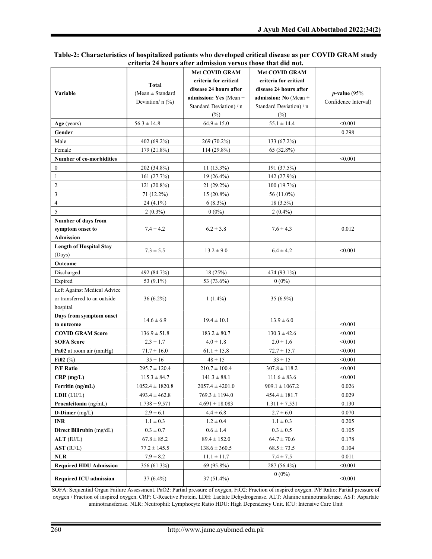#### Table-2: Characteristics of hospitalized patients who developed critical disease as per COVID GRAM study criteria 24 hours after admission versus those that did not.

|                                 |                      | <b>Met COVID GRAM</b>      | <b>Met COVID GRAM</b>     |                      |
|---------------------------------|----------------------|----------------------------|---------------------------|----------------------|
|                                 |                      | criteria for critical      | criteria for critical     |                      |
|                                 | <b>Total</b>         | disease 24 hours after     | disease 24 hours after    |                      |
| <b>Variable</b>                 | (Mean $\pm$ Standard | admission: Yes (Mean $\pm$ | admission: No (Mean $\pm$ | $p$ -value (95%      |
|                                 | Deviation/ $n$ (%)   | Standard Deviation) / n    | Standard Deviation) / n   | Confidence Interval) |
|                                 |                      | $(\%)$                     | $(\%)$                    |                      |
| Age (years)                     | $56.3 \pm 14.8$      | $64.9 \pm 15.0$            | $55.1 \pm 14.4$           | < 0.001              |
| Gender                          |                      |                            |                           | 0.298                |
| Male                            | 402 (69.2%)          | 269 (70.2%)                | 133 (67.2%)               |                      |
| Female                          | 179 (21.8%)          | 114 (29.8%)                | 65 (32.8%)                |                      |
| <b>Number of co-morbidities</b> |                      |                            |                           | < 0.001              |
| $\boldsymbol{0}$                | 202 (34.8%)          | $11(15.3\%)$               | 191 (37.5%)               |                      |
| $\mathbf{1}$                    | 161 (27.7%)          | 19 (26.4%)                 | 142 (27.9%)               |                      |
| $\overline{2}$                  | 121 (20.8%)          | 21 (29.2%)                 | 100(19.7%)                |                      |
| $\mathfrak{Z}$                  | 71 (12.2%)           | $15(20.8\%)$               | 56 (11.0%)                |                      |
| $\overline{4}$                  | 24 (4.1%)            | $6(8.3\%)$                 | $18(3.5\%)$               |                      |
| 5                               | $2(0.3\%)$           | $0(0\%)$                   | $2(0.4\%)$                |                      |
| Number of days from             |                      |                            |                           |                      |
| symptom onset to                | $7.4 \pm 4.2$        | $6.2 \pm 3.8$              | $7.6 \pm 4.3$             | 0.012                |
| <b>Admission</b>                |                      |                            |                           |                      |
| <b>Length of Hospital Stay</b>  | $7.3 \pm 5.5$        | $13.2 \pm 9.0$             | $6.4 \pm 4.2$             | < 0.001              |
| (Days)                          |                      |                            |                           |                      |
| Outcome                         |                      |                            |                           |                      |
| Discharged                      | 492 (84.7%)          | 18 (25%)                   | 474 (93.1%)               |                      |
| Expired                         | 53 (9.1%)            | 53 (73.6%)                 | $0(0\%)$                  |                      |
| Left Against Medical Advice     |                      |                            |                           |                      |
| or transferred to an outside    | $36(6.2\%)$          | $1(1.4\%)$                 | 35 (6.9%)                 |                      |
| hospital                        |                      |                            |                           |                      |
| Days from symptom onset         | $14.6 \pm 6.9$       | $19.4 \pm 10.1$            | $13.9 \pm 6.0$            |                      |
| to outcome                      |                      |                            |                           | < 0.001              |
| <b>COVID GRAM Score</b>         | $136.9 \pm 51.8$     | $183.2 \pm 80.7$           | $130.3 \pm 42.6$          | < 0.001              |
| <b>SOFA Score</b>               | $2.3 \pm 1.7$        | $4.0 \pm 1.8$              | $2.0 \pm 1.6$             | < 0.001              |
| Pa02 at room air (mmHg)         | $71.7 \pm 16.0$      | $61.1 \pm 15.8$            | $72.7 \pm 15.7$           | < 0.001              |
| Fi02 $(\%)$                     | $35 \pm 16$          | $48 \pm 15$                | $33 \pm 15$               | < 0.001              |
| <b>P/F Ratio</b>                | $295.7 \pm 120.4$    | $210.7 \pm 100.4$          | $307.8 \pm 118.2$         | < 0.001              |
| $CRP$ (mg/L)                    | $115.3 \pm 84.7$     | $141.3 \pm 88.1$           | $111.6 \pm 83.6$          | < 0.001              |
| Ferritin (ng/mL)                | $1052.4 \pm 1820.8$  | $2057.4 \pm 4201.0$        | $909.1 \pm 1067.2$        | 0.026                |
| LDH (I.U/L)                     | $493.4 \pm 462.8$    | $769.3 \pm 1194.0$         | $454.4 \pm 181.7$         | 0.029                |
| Procalcitonin (ng/mL)           | $1.738 \pm 9.571$    | $4.691 \pm 18.083$         | $1.311 \pm 7.531$         | 0.130                |
| D-Dimer $(mg/L)$                | $2.9 \pm 6.1$        | $4.4 \pm 6.8$              | $2.7 \pm 6.0$             | 0.070                |
| $\ensuremath{\mathsf{INR}}$     | $1.1 \pm 0.3$        | $1.2 \pm 0.4$              | $1.1 \pm 0.3$             | 0.205                |
| Direct Bilirubin (mg/dL)        | $0.3 \pm 0.7$        | $0.6 \pm 1.4$              | $0.3 \pm 0.5$             | 0.105                |
| $ALT$ (IU/L)                    | $67.8 \pm 85.2$      | $89.4 \pm 152.0$           | $64.7 \pm 70.6$           | 0.178                |
| AST (IUL)                       | $77.2 \pm 145.5$     | $138.6 \pm 360.5$          | $68.5 \pm 73.5$           | 0.104                |
| <b>NLR</b>                      | $7.9 \pm 8.2$        | $11.1 \pm 11.7$            | $7.4 \pm 7.5$             | 0.011                |
| <b>Required HDU Admission</b>   | 356 (61.3%)          | 69 (95.8%)                 | 287 (56.4%)               | < 0.001              |
| <b>Required ICU admission</b>   | $37(6.4\%)$          | $37(51.4\%)$               | $0(0\%)$                  | < 0.001              |

SOFA: Sequential Organ Failure Assessment. PaO2: Partial pressure of oxygen, FiO2: Fraction of inspired oxygen. P/F Ratio: Partial pressure of oxygen / Fraction of inspired oxygen. CRP: C-Reactive Protein. LDH: Lactate Dehydrogenase. ALT: Alanine aminotransferase. AST: Aspartate aminotransferase. NLR: Neutrophil: Lymphocyte Ratio HDU: High Dependency Unit. ICU: Intensive Care Unit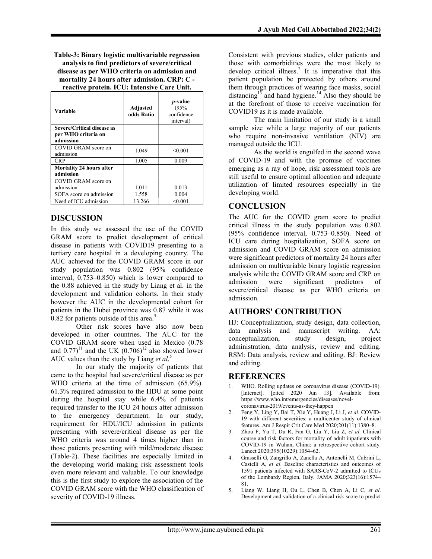Table-3: Binary logistic multivariable regression analysis to find predictors of severe/critical disease as per WHO criteria on admission and mortality 24 hours after admission. CRP: C reactive protein. ICU: Intensive Care Unit.

| Variable                                                       | Adjusted<br>odds Ratio | <i>p</i> -value<br>(95%<br>confidence<br>interval) |
|----------------------------------------------------------------|------------------------|----------------------------------------------------|
| Severe/Critical disease as<br>per WHO criteria on<br>admission |                        |                                                    |
| COVID GRAM score on<br>admission                               | 1.049                  | < 0.001                                            |
| <b>CRP</b>                                                     | 1.005                  | 0.009                                              |
| <b>Mortality 24 hours after</b><br>admission                   |                        |                                                    |
| COVID GRAM score on                                            |                        |                                                    |
| admission                                                      | 1.011                  | 0.013                                              |
| SOFA score on admission                                        | 1.558                  | 0.004                                              |
| Need of ICU admission                                          | 13.266                 | < 0.001                                            |

### DISCUSSION

In this study we assessed the use of the COVID GRAM score to predict development of critical disease in patients with COVID19 presenting to a tertiary care hospital in a developing country. The AUC achieved for the COVID GRAM score in our study population was 0.802 (95% confidence interval, 0.753–0.850) which is lower compared to the 0.88 achieved in the study by Liang et al. in the development and validation cohorts. In their study however the AUC in the developmental cohort for patients in the Hubei province was 0.87 while it was  $0.82$  for patients outside of this area.<sup>5</sup>

Other risk scores have also now been developed in other countries. The AUC for the COVID GRAM score when used in Mexico (0.78 and  $(0.77)^{11}$  and the UK  $(0.706)^{12}$  also showed lower AUC values than the study by Liang et  $al$ <sup>5</sup>

In our study the majority of patients that came to the hospital had severe/critical disease as per WHO criteria at the time of admission (65.9%). 61.3% required admission to the HDU at some point during the hospital stay while 6.4% of patients required transfer to the ICU 24 hours after admission to the emergency department. In our study, requirement for HDU/ICU admission in patients presenting with severe/critical disease as per the WHO criteria was around 4 times higher than in those patients presenting with mild/moderate disease (Table-2). These facilities are especially limited in the developing world making risk assessment tools even more relevant and valuable. To our knowledge this is the first study to explore the association of the COVID GRAM score with the WHO classification of severity of COVID-19 illness.

Consistent with previous studies, older patients and those with comorbidities were the most likely to develop critical illness.<sup>2</sup> It is imperative that this patient population be protected by others around them through practices of wearing face masks, social distancing<sup>13</sup> and hand hygiene.<sup>14</sup> Also they should be at the forefront of those to receive vaccination for COVID19 as it is made available.

The main limitation of our study is a small sample size while a large majority of our patients who require non-invasive ventilation (NIV) are managed outside the ICU.

As the world is engulfed in the second wave of COVID-19 and with the promise of vaccines emerging as a ray of hope, risk assessment tools are still useful to ensure optimal allocation and adequate utilization of limited resources especially in the developing world.

#### **CONCLUSION**

The AUC for the COVID gram score to predict critical illness in the study population was 0.802 (95% confidence interval, 0.753–0.850). Need of ICU care during hospitalization, SOFA score on admission and COVID GRAM score on admission were significant predictors of mortality 24 hours after admission on multivariable binary logistic regression analysis while the COVID GRAM score and CRP on admission were significant predictors of severe/critical disease as per WHO criteria on admission.

### AUTHORS' CONTRIBUTION

HJ: Conceptualization, study design, data collection, data analysis and manuscript writing. AA: conceptualization, study design, project administration, data analysis, review and editing. RSM: Data analysis, review and editing. BJ: Review and editing.

#### **REFERENCES**

- WHO. Rolling updates on coronavirus disease (COVID-19). [Internet]. [cited 2020 Jun 13]. Available from: https://www.who.int/emergencies/diseases/novelcoronavirus-2019/events-as-they-happen
- 2. Feng Y, Ling Y, Bai T, Xie Y, Huang J, Li J, et al. COVID-19 with different severities: a multicenter study of clinical features. Am J Respir Crit Care Med 2020;201(11):1380–8.
- 3. Zhou F, Yu T, Du R, Fan G, Liu Y, Liu Z, et al. Clinical course and risk factors for mortality of adult inpatients with COVID-19 in Wuhan, China: a retrospective cohort study. Lancet 2020;395(10229):1054–62.
- 4. Grasselli G, Zangrillo A, Zanella A, Antonelli M, Cabrini L, Castelli A, et al. Baseline characteristics and outcomes of 1591 patients infected with SARS-CoV-2 admitted to ICUs of the Lombardy Region, Italy. JAMA 2020;323(16):1574– 81.
- 5. Liang W, Liang H, Ou L, Chen B, Chen A, Li C, et al. Development and validation of a clinical risk score to predict